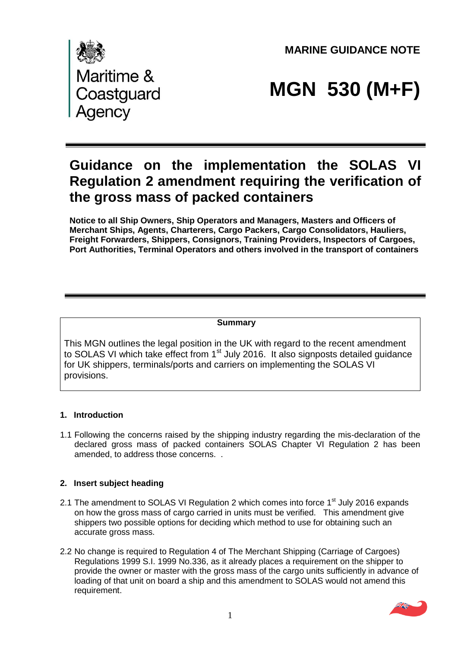**MARINE GUIDANCE NOTE** 



# **MGN 530 (M+F)**

# **Guidance on the implementation the SOLAS VI Regulation 2 amendment requiring the verification of the gross mass of packed containers**

**Notice to all Ship Owners, Ship Operators and Managers, Masters and Officers of Merchant Ships, Agents, Charterers, Cargo Packers, Cargo Consolidators, Hauliers, Freight Forwarders, Shippers, Consignors, Training Providers, Inspectors of Cargoes, Port Authorities, Terminal Operators and others involved in the transport of containers**

#### **Summary**

This MGN outlines the legal position in the UK with regard to the recent amendment to SOLAS VI which take effect from 1<sup>st</sup> July 2016. It also signposts detailed guidance for UK shippers, terminals/ports and carriers on implementing the SOLAS VI provisions.

#### **1. Introduction**

1.1 Following the concerns raised by the shipping industry regarding the mis-declaration of the declared gross mass of packed containers SOLAS Chapter VI Regulation 2 has been amended, to address those concerns. .

#### **2. Insert subject heading**

- 2.1 The amendment to SOLAS VI Regulation 2 which comes into force 1<sup>st</sup> July 2016 expands on how the gross mass of cargo carried in units must be verified. This amendment give shippers two possible options for deciding which method to use for obtaining such an accurate gross mass.
- 2.2 No change is required to Regulation 4 of The Merchant Shipping (Carriage of Cargoes) Regulations 1999 S.I. 1999 No.336, as it already places a requirement on the shipper to provide the owner or master with the gross mass of the cargo units sufficiently in advance of loading of that unit on board a ship and this amendment to SOLAS would not amend this requirement.

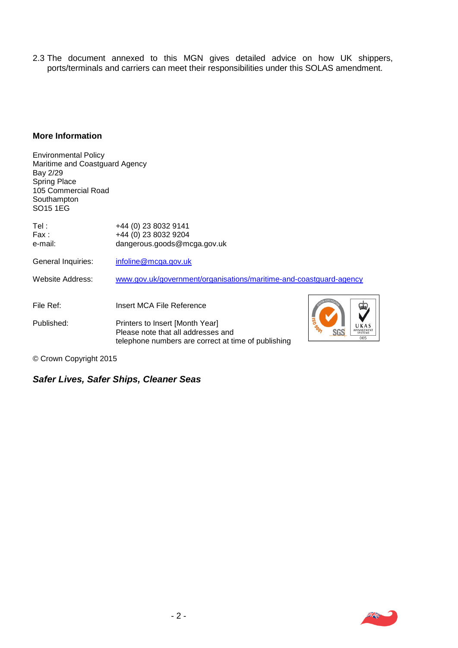2.3 The document annexed to this MGN gives detailed advice on how UK shippers, ports/terminals and carriers can meet their responsibilities under this SOLAS amendment.

#### **More Information**

| <b>Environmental Policy</b>                |                                                                    |                   |
|--------------------------------------------|--------------------------------------------------------------------|-------------------|
| Maritime and Coastguard Agency             |                                                                    |                   |
| Bay 2/29                                   |                                                                    |                   |
| <b>Spring Place</b><br>105 Commercial Road |                                                                    |                   |
| Southampton                                |                                                                    |                   |
| SO <sub>15</sub> 1EG                       |                                                                    |                   |
| Tel:                                       | +44 (0) 23 8032 9141                                               |                   |
| Fax :                                      | +44 (0) 23 8032 9204                                               |                   |
| e-mail:                                    | dangerous.goods@mcga.gov.uk                                        |                   |
| General Inquiries:                         | infoline@mcga.gov.uk                                               |                   |
| Website Address:                           | www.gov.uk/government/organisations/maritime-and-coastguard-agency |                   |
|                                            |                                                                    |                   |
| File Ref:                                  | Insert MCA File Reference                                          |                   |
| Published:                                 | Printers to Insert [Month Year]                                    | 50                |
|                                            | Please note that all addresses and                                 | MANAGEMENT<br>SGS |
|                                            | telephone numbers are correct at time of publishing                | 005               |
|                                            |                                                                    |                   |

© Crown Copyright 2015.

# *Safer Lives, Safer Ships, Cleaner Seas.*

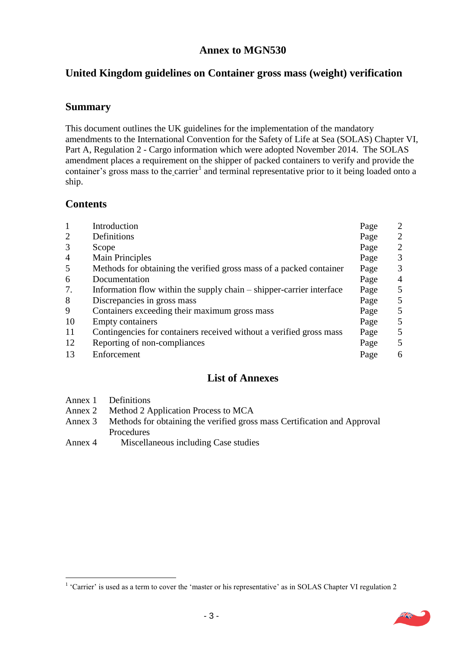# **Annex to MGN530**

# **United Kingdom guidelines on Container gross mass (weight) verification**

# **Summary**

This document outlines the UK guidelines for the implementation of the mandatory amendments to the International Convention for the Safety of Life at Sea (SOLAS) Chapter VI, Part A, Regulation 2 - Cargo information which were adopted November 2014. The SOLAS amendment places a requirement on the shipper of packed containers to verify and provide the container's gross mass to the carrier<sup>1</sup> and terminal representative prior to it being loaded onto a ship.

# **Contents**

| $\mathbf{1}$   | Introduction                                                         | Page | 2              |
|----------------|----------------------------------------------------------------------|------|----------------|
| $\overline{2}$ | Definitions                                                          | Page | $\overline{2}$ |
| 3              | Scope                                                                | Page | 2              |
| $\overline{4}$ | <b>Main Principles</b>                                               | Page | 3              |
| 5              | Methods for obtaining the verified gross mass of a packed container  | Page | 3              |
| 6              | Documentation                                                        | Page | 4              |
| 7.             | Information flow within the supply chain – shipper-carrier interface | Page | 5              |
| 8              | Discrepancies in gross mass                                          | Page | 5              |
| 9              | Containers exceeding their maximum gross mass                        | Page | 5              |
| 10             | <b>Empty containers</b>                                              | Page | $\mathfrak{S}$ |
| 11             | Contingencies for containers received without a verified gross mass  | Page | $\mathfrak{S}$ |
| 12             | Reporting of non-compliances                                         | Page | 5              |
| 13             | Enforcement                                                          | Page | 6              |

#### **List of Annexes**

1

- Annex 2 Method 2 Application Process to MCA
- Annex 3 Methods for obtaining the verified gross mass Certification and Approval Procedures
- Annex 4 Miscellaneous including Case studies

<sup>&</sup>lt;sup>1</sup> 'Carrier' is used as a term to cover the 'master or his representative' as in SOLAS Chapter VI regulation 2

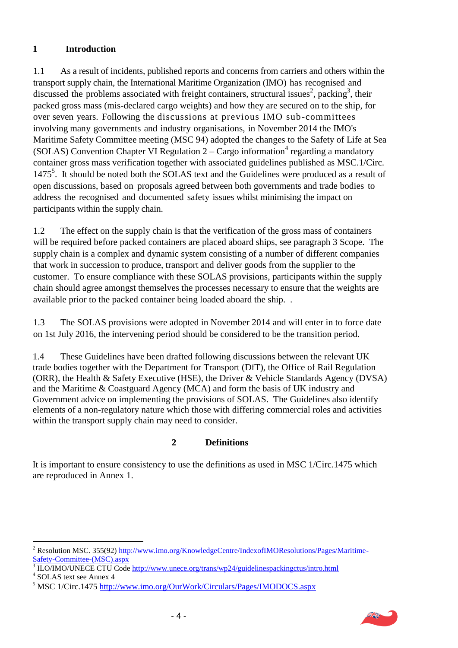#### **1 Introduction**

1.1 As a result of incidents, published reports and concerns from carriers and others within the transport supply chain, the International Maritime Organization (IMO) has recognised and discussed the problems associated with freight containers, structural issues<sup>2</sup>, packing<sup>3</sup>, their packed gross mass (mis-declared cargo weights) and how they are secured on to the ship, for over seven years. Following the discussions at previous IMO sub-committees involving many governments and industry organisations, in November 2014 the IMO's Maritime Safety Committee meeting (MSC 94) adopted the changes to the Safety of Life at Sea (SOLAS) Convention Chapter VI Regulation  $2 -$  Cargo information<sup>4</sup> regarding a mandatory container gross mass verification together with associated guidelines published as MSC.1/Circ. 1475<sup>5</sup>. It should be noted both the SOLAS text and the Guidelines were produced as a result of open discussions, based on proposals agreed between both governments and trade bodies to address the recognised and documented safety issues whilst minimising the impact on participants within the supply chain.

1.2 The effect on the supply chain is that the verification of the gross mass of containers will be required before packed containers are placed aboard ships, see paragraph 3 Scope. The supply chain is a complex and dynamic system consisting of a number of different companies that work in succession to produce, transport and deliver goods from the supplier to the customer. To ensure compliance with these SOLAS provisions, participants within the supply chain should agree amongst themselves the processes necessary to ensure that the weights are available prior to the packed container being loaded aboard the ship. .

1.3 The SOLAS provisions were adopted in November 2014 and will enter in to force date on 1st July 2016, the intervening period should be considered to be the transition period.

1.4 These Guidelines have been drafted following discussions between the relevant UK trade bodies together with the Department for Transport (DfT), the Office of Rail Regulation (ORR), the Health & Safety Executive (HSE), the Driver & Vehicle Standards Agency (DVSA) and the Maritime & Coastguard Agency (MCA) and form the basis of UK industry and Government advice on implementing the provisions of SOLAS. The Guidelines also identify elements of a non-regulatory nature which those with differing commercial roles and activities within the transport supply chain may need to consider.

#### **2 Definitions**

It is important to ensure consistency to use the definitions as used in MSC 1/Circ.1475 which are reproduced in Annex 1.



 $\overline{a}$ <sup>2</sup> Resolution MSC. 355(92) [http://www.imo.org/KnowledgeCentre/IndexofIMOResolutions/Pages/Maritime-](http://www.imo.org/KnowledgeCentre/IndexofIMOResolutions/Pages/Maritime-Safety-Committee-(MSC).aspx)

[Safety-Committee-\(MSC\).aspx](http://www.imo.org/KnowledgeCentre/IndexofIMOResolutions/Pages/Maritime-Safety-Committee-(MSC).aspx) 3 ILO/IMO/UNECE CTU Code<http://www.unece.org/trans/wp24/guidelinespackingctus/intro.html>

<sup>4</sup> SOLAS text see Annex 4

<sup>5</sup> MSC 1/Circ.1475 <http://www.imo.org/OurWork/Circulars/Pages/IMODOCS.aspx>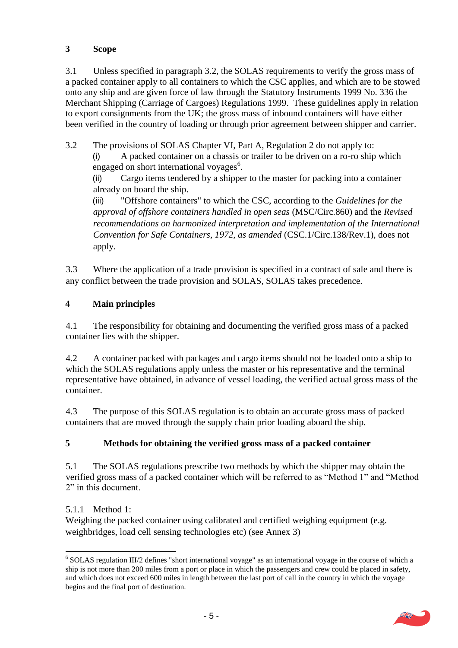# **3 Scope**

3.1 Unless specified in paragraph 3.2, the SOLAS requirements to verify the gross mass of a packed container apply to all containers to which the CSC applies, and which are to be stowed onto any ship and are given force of law through the Statutory Instruments 1999 No. 336 the Merchant Shipping (Carriage of Cargoes) Regulations 1999. These guidelines apply in relation to export consignments from the UK; the gross mass of inbound containers will have either been verified in the country of loading or through prior agreement between shipper and carrier.

3.2 The provisions of SOLAS Chapter VI, Part A, Regulation 2 do not apply to:

(i) A packed container on a chassis or trailer to be driven on a ro-ro ship which engaged on short international voyages<sup>6</sup>.

(ii) Cargo items tendered by a shipper to the master for packing into a container already on board the ship.

(iii) "Offshore containers" to which the CSC, according to the *Guidelines for the approval of offshore containers handled in open seas* (MSC/Circ.860) and the *Revised recommendations on harmonized interpretation and implementation of the International Convention for Safe Containers, 1972, as amended* (CSC.1/Circ.138/Rev.1), does not apply.

3.3 Where the application of a trade provision is specified in a contract of sale and there is any conflict between the trade provision and SOLAS, SOLAS takes precedence.

# **4 Main principles**

4.1 The responsibility for obtaining and documenting the verified gross mass of a packed container lies with the shipper.

4.2 A container packed with packages and cargo items should not be loaded onto a ship to which the SOLAS regulations apply unless the master or his representative and the terminal representative have obtained, in advance of vessel loading, the verified actual gross mass of the container.

4.3 The purpose of this SOLAS regulation is to obtain an accurate gross mass of packed containers that are moved through the supply chain prior loading aboard the ship.

#### **5 Methods for obtaining the verified gross mass of a packed container**

5.1 The SOLAS regulations prescribe two methods by which the shipper may obtain the verified gross mass of a packed container which will be referred to as "Method 1" and "Method 2" in this document.

#### 5.1.1 Method 1:

<u>.</u>

Weighing the packed container using calibrated and certified weighing equipment (e.g. weighbridges, load cell sensing technologies etc) (see Annex 3)

<sup>&</sup>lt;sup>6</sup> SOLAS regulation III/2 defines "short international voyage" as an international voyage in the course of which a ship is not more than 200 miles from a port or place in which the passengers and crew could be placed in safety, and which does not exceed 600 miles in length between the last port of call in the country in which the voyage begins and the final port of destination.

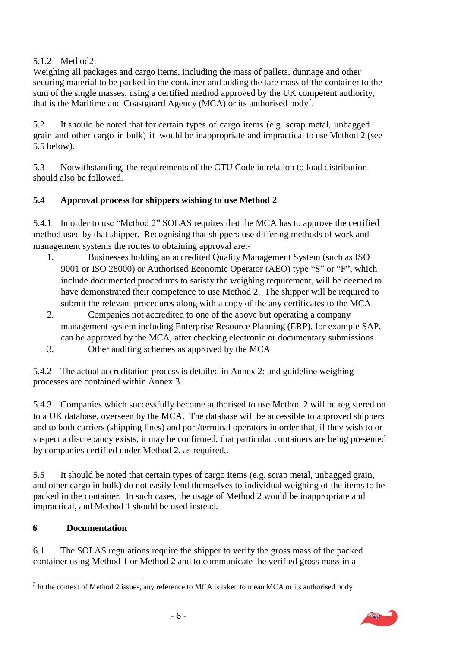# 5.1.2 Method2:

Weighing all packages and cargo items, including the mass of pallets, dunnage and other securing material to be packed in the container and adding the tare mass of the container to the sum of the single masses, using a certified method approved by the UK competent authority, that is the Maritime and Coastguard Agency (MCA) or its authorised body<sup>7</sup>.

5.2 It should be noted that for certain types of cargo items (e.g. scrap metal, unbagged grain and other cargo in bulk) it would be inappropriate and impractical to use Method 2 (see 5.5 below).

5.3 Notwithstanding, the requirements of the CTU Code in relation to load distribution should also be followed.

# **5.4 Approval process for shippers wishing to use Method 2**

5.4.1 In order to use "Method 2" SOLAS requires that the MCA has to approve the certified method used by that shipper. Recognising that shippers use differing methods of work and management systems the routes to obtaining approval are:-

- 1. Businesses holding an accredited Quality Management System (such as ISO 9001 or ISO 28000) or Authorised Economic Operator (AEO) type "S" or "F", which include documented procedures to satisfy the weighing requirement, will be deemed to have demonstrated their competence to use Method 2. The shipper will be required to submit the relevant procedures along with a copy of the any certificates to the MCA
- 2. Companies not accredited to one of the above but operating a company management system including Enterprise Resource Planning (ERP), for example SAP, can be approved by the MCA, after checking electronic or documentary submissions
- 3. Other auditing schemes as approved by the MCA

5.4.2 The actual accreditation process is detailed in Annex 2: and guideline weighing processes are contained within Annex 3.

5.4.3 Companies which successfully become authorised to use Method 2 will be registered on to a UK database, overseen by the MCA. The database will be accessible to approved shippers and to both carriers (shipping lines) and port/terminal operators in order that, if they wish to or suspect a discrepancy exists, it may be confirmed, that particular containers are being presented by companies certified under Method 2, as required,.

5.5 It should be noted that certain types of cargo items (e.g. scrap metal, unbagged grain, and other cargo in bulk) do not easily lend themselves to individual weighing of the items to be packed in the container. In such cases, the usage of Method 2 would be inappropriate and impractical, and Method 1 should be used instead.

#### **6 Documentation**

6.1 The SOLAS regulations require the shipper to verify the gross mass of the packed container using Method 1 or Method 2 and to communicate the verified gross mass in a

 $\overline{a}$  $<sup>7</sup>$  In the context of Method 2 issues, any reference to MCA is taken to mean MCA or its authorised body</sup>

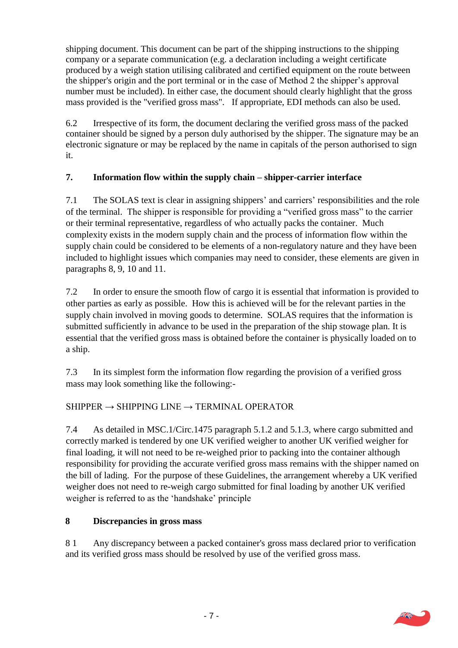shipping document. This document can be part of the shipping instructions to the shipping company or a separate communication (e.g. a declaration including a weight certificate produced by a weigh station utilising calibrated and certified equipment on the route between the shipper's origin and the port terminal or in the case of Method 2 the shipper's approval number must be included). In either case, the document should clearly highlight that the gross mass provided is the "verified gross mass". If appropriate, EDI methods can also be used.

6.2 Irrespective of its form, the document declaring the verified gross mass of the packed container should be signed by a person duly authorised by the shipper. The signature may be an electronic signature or may be replaced by the name in capitals of the person authorised to sign it.

# **7. Information flow within the supply chain – shipper-carrier interface**

7.1 The SOLAS text is clear in assigning shippers' and carriers' responsibilities and the role of the terminal. The shipper is responsible for providing a "verified gross mass" to the carrier or their terminal representative, regardless of who actually packs the container. Much complexity exists in the modern supply chain and the process of information flow within the supply chain could be considered to be elements of a non-regulatory nature and they have been included to highlight issues which companies may need to consider, these elements are given in paragraphs 8, 9, 10 and 11.

7.2 In order to ensure the smooth flow of cargo it is essential that information is provided to other parties as early as possible. How this is achieved will be for the relevant parties in the supply chain involved in moving goods to determine. SOLAS requires that the information is submitted sufficiently in advance to be used in the preparation of the ship stowage plan. It is essential that the verified gross mass is obtained before the container is physically loaded on to a ship.

7.3 In its simplest form the information flow regarding the provision of a verified gross mass may look something like the following:-

# $SHIPPER \rightarrow SHIPPING LINE \rightarrow TERMINAL OPERATOR$

7.4 As detailed in MSC.1/Circ.1475 paragraph 5.1.2 and 5.1.3, where cargo submitted and correctly marked is tendered by one UK verified weigher to another UK verified weigher for final loading, it will not need to be re-weighed prior to packing into the container although responsibility for providing the accurate verified gross mass remains with the shipper named on the bill of lading. For the purpose of these Guidelines, the arrangement whereby a UK verified weigher does not need to re-weigh cargo submitted for final loading by another UK verified weigher is referred to as the 'handshake' principle

#### **8 Discrepancies in gross mass**

8 1 Any discrepancy between a packed container's gross mass declared prior to verification and its verified gross mass should be resolved by use of the verified gross mass.

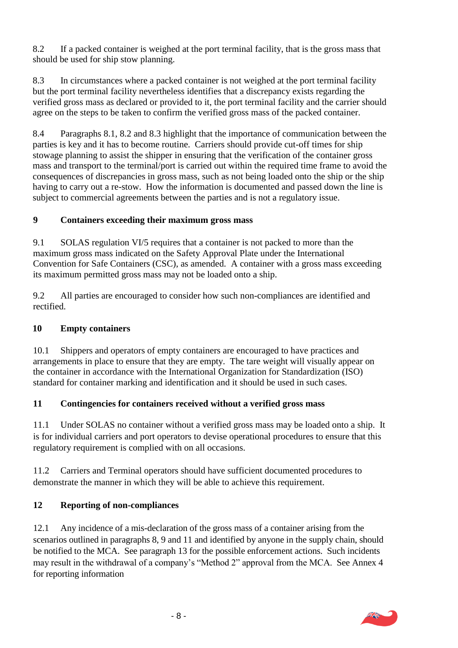8.2 If a packed container is weighed at the port terminal facility, that is the gross mass that should be used for ship stow planning.

8.3 In circumstances where a packed container is not weighed at the port terminal facility but the port terminal facility nevertheless identifies that a discrepancy exists regarding the verified gross mass as declared or provided to it, the port terminal facility and the carrier should agree on the steps to be taken to confirm the verified gross mass of the packed container.

8.4 Paragraphs 8.1, 8.2 and 8.3 highlight that the importance of communication between the parties is key and it has to become routine. Carriers should provide cut-off times for ship stowage planning to assist the shipper in ensuring that the verification of the container gross mass and transport to the terminal/port is carried out within the required time frame to avoid the consequences of discrepancies in gross mass, such as not being loaded onto the ship or the ship having to carry out a re-stow. How the information is documented and passed down the line is subject to commercial agreements between the parties and is not a regulatory issue.

#### **9 Containers exceeding their maximum gross mass**

9.1 SOLAS regulation VI/5 requires that a container is not packed to more than the maximum gross mass indicated on the Safety Approval Plate under the International Convention for Safe Containers (CSC), as amended. A container with a gross mass exceeding its maximum permitted gross mass may not be loaded onto a ship.

9.2 All parties are encouraged to consider how such non-compliances are identified and rectified.

# **10 Empty containers**

10.1 Shippers and operators of empty containers are encouraged to have practices and arrangements in place to ensure that they are empty. The tare weight will visually appear on the container in accordance with the International Organization for Standardization (ISO) standard for container marking and identification and it should be used in such cases.

# **11 Contingencies for containers received without a verified gross mass**

11.1 Under SOLAS no container without a verified gross mass may be loaded onto a ship. It is for individual carriers and port operators to devise operational procedures to ensure that this regulatory requirement is complied with on all occasions.

11.2 Carriers and Terminal operators should have sufficient documented procedures to demonstrate the manner in which they will be able to achieve this requirement.

# **12 Reporting of non-compliances**

12.1 Any incidence of a mis-declaration of the gross mass of a container arising from the scenarios outlined in paragraphs 8, 9 and 11 and identified by anyone in the supply chain, should be notified to the MCA. See paragraph 13 for the possible enforcement actions. Such incidents may result in the withdrawal of a company's "Method 2" approval from the MCA. See Annex 4 for reporting information

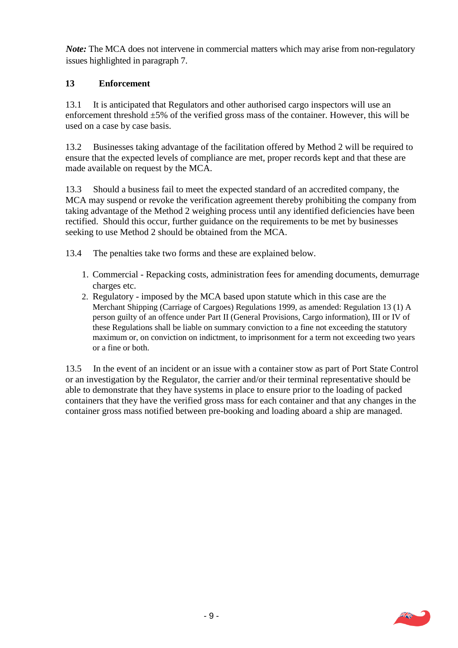*Note*: The MCA does not intervene in commercial matters which may arise from non-regulatory issues highlighted in paragraph 7.

#### **13 Enforcement**

13.1 It is anticipated that Regulators and other authorised cargo inspectors will use an enforcement threshold  $\pm 5\%$  of the verified gross mass of the container. However, this will be used on a case by case basis.

13.2 Businesses taking advantage of the facilitation offered by Method 2 will be required to ensure that the expected levels of compliance are met, proper records kept and that these are made available on request by the MCA.

13.3 Should a business fail to meet the expected standard of an accredited company, the MCA may suspend or revoke the verification agreement thereby prohibiting the company from taking advantage of the Method 2 weighing process until any identified deficiencies have been rectified. Should this occur, further guidance on the requirements to be met by businesses seeking to use Method 2 should be obtained from the MCA.

13.4 The penalties take two forms and these are explained below.

- 1. Commercial Repacking costs, administration fees for amending documents, demurrage charges etc.
- 2. Regulatory imposed by the MCA based upon statute which in this case are the Merchant Shipping (Carriage of Cargoes) Regulations 1999, as amended: Regulation 13 (1) A person guilty of an offence under Part II (General Provisions, Cargo information), III or IV of these Regulations shall be liable on summary conviction to a fine not exceeding the statutory maximum or, on conviction on indictment, to imprisonment for a term not exceeding two years or a fine or both.

13.5 In the event of an incident or an issue with a container stow as part of Port State Control or an investigation by the Regulator, the carrier and/or their terminal representative should be able to demonstrate that they have systems in place to ensure prior to the loading of packed containers that they have the verified gross mass for each container and that any changes in the container gross mass notified between pre-booking and loading aboard a ship are managed.

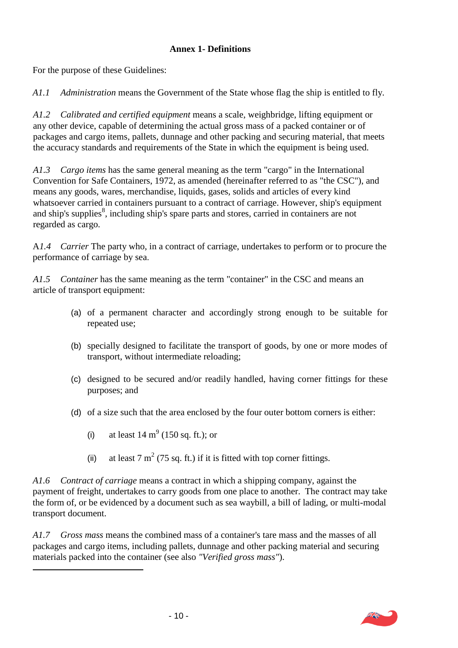#### **Annex 1- Definitions**

For the purpose of these Guidelines:

*A1.1 Administration* means the Government of the State whose flag the ship is entitled to fly.

*A1.2 Calibrated and certified equipment* means a scale, weighbridge, lifting equipment or any other device, capable of determining the actual gross mass of a packed container or of packages and cargo items, pallets, dunnage and other packing and securing material, that meets the accuracy standards and requirements of the State in which the equipment is being used.

*A1.3 Cargo items* has the same general meaning as the term "cargo" in the International Convention for Safe Containers, 1972, as amended (hereinafter referred to as "the CSC"), and means any goods, wares, merchandise, liquids, gases, solids and articles of every kind whatsoever carried in containers pursuant to a contract of carriage. However, ship's equipment and ship's supplies<sup>8</sup>, including ship's spare parts and stores, carried in containers are not regarded as cargo.

A*1.4 Carrier* The party who, in a contract of carriage, undertakes to perform or to procure the performance of carriage by sea.

*A1.5 Container* has the same meaning as the term "container" in the CSC and means an article of transport equipment:

- (a) of a permanent character and accordingly strong enough to be suitable for repeated use;
- (b) specially designed to facilitate the transport of goods, by one or more modes of transport, without intermediate reloading;
- (c) designed to be secured and/or readily handled, having corner fittings for these purposes; and
- (d) of a size such that the area enclosed by the four outer bottom corners is either:
	- (i) at least  $14 \text{ m}^9$  (150 sq. ft.); or

 $\overline{a}$ 

(ii) at least 7  $m^2$  (75 sq. ft.) if it is fitted with top corner fittings.

*A1.6 Contract of carriage* means a contract in which a shipping company, against the payment of freight, undertakes to carry goods from one place to another. The contract may take the form of, or be evidenced by a document such as sea waybill, a bill of lading, or multi-modal transport document.

*A1.7 Gross mass* means the combined mass of a container's tare mass and the masses of all packages and cargo items, including pallets, dunnage and other packing material and securing materials packed into the container (see also *"Verified gross mass"*).

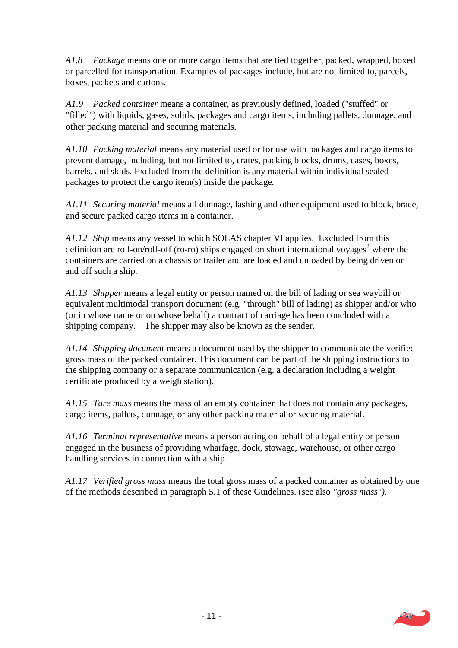*A1.8 Package* means one or more cargo items that are tied together, packed, wrapped, boxed or parcelled for transportation. Examples of packages include, but are not limited to, parcels, boxes, packets and cartons.

*A1.9 Packed container* means a container, as previously defined, loaded ("stuffed" or "filled") with liquids, gases, solids, packages and cargo items, including pallets, dunnage, and other packing material and securing materials.

*A1.10 Packing material* means any material used or for use with packages and cargo items to prevent damage, including, but not limited to, crates, packing blocks, drums, cases, boxes, barrels, and skids. Excluded from the definition is any material within individual sealed packages to protect the cargo item(s) inside the package.

*A1.11 Securing material* means all dunnage, lashing and other equipment used to block, brace, and secure packed cargo items in a container.

*A1.12 Ship* means any vessel to which SOLAS chapter VI applies. Excluded from this definition are roll-on/roll-off (ro-ro) ships engaged on short international voyages<sup>2</sup> where the containers are carried on a chassis or trailer and are loaded and unloaded by being driven on and off such a ship.

*A1.13 Shipper* means a legal entity or person named on the bill of lading or sea waybill or equivalent multimodal transport document (e.g. "through" bill of lading) as shipper and/or who (or in whose name or on whose behalf) a contract of carriage has been concluded with a shipping company. The shipper may also be known as the sender.

*A1.14 Shipping document* means a document used by the shipper to communicate the verified gross mass of the packed container. This document can be part of the shipping instructions to the shipping company or a separate communication (e.g. a declaration including a weight certificate produced by a weigh station).

*A1.15 Tare mass* means the mass of an empty container that does not contain any packages, cargo items, pallets, dunnage, or any other packing material or securing material.

*A1.16 Terminal representative* means a person acting on behalf of a legal entity or person engaged in the business of providing wharfage, dock, stowage, warehouse, or other cargo handling services in connection with a ship.

*A1.17 Verified gross mass* means the total gross mass of a packed container as obtained by one of the methods described in paragraph 5.1 of these Guidelines. (see also *"gross mass").*

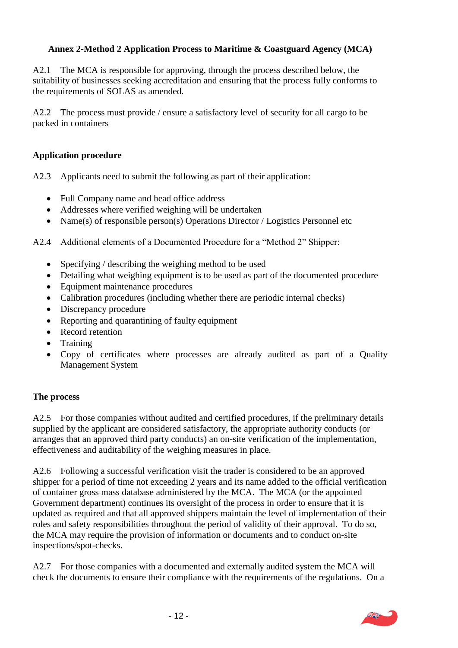#### **Annex 2-Method 2 Application Process to Maritime & Coastguard Agency (MCA)**

A2.1 The MCA is responsible for approving, through the process described below, the suitability of businesses seeking accreditation and ensuring that the process fully conforms to the requirements of SOLAS as amended.

A2.2 The process must provide / ensure a satisfactory level of security for all cargo to be packed in containers

#### **Application procedure**

A2.3 Applicants need to submit the following as part of their application:

- Full Company name and head office address
- Addresses where verified weighing will be undertaken
- Name(s) of responsible person(s) Operations Director / Logistics Personnel etc

A2.4 Additional elements of a Documented Procedure for a "Method 2" Shipper:

- Specifying / describing the weighing method to be used
- Detailing what weighing equipment is to be used as part of the documented procedure
- Equipment maintenance procedures
- Calibration procedures (including whether there are periodic internal checks)
- Discrepancy procedure
- Reporting and quarantining of faulty equipment
- Record retention
- Training
- Copy of certificates where processes are already audited as part of a Quality Management System

#### **The process**

A2.5 For those companies without audited and certified procedures, if the preliminary details supplied by the applicant are considered satisfactory, the appropriate authority conducts (or arranges that an approved third party conducts) an on-site verification of the implementation, effectiveness and auditability of the weighing measures in place.

A2.6 Following a successful verification visit the trader is considered to be an approved shipper for a period of time not exceeding 2 years and its name added to the official verification of container gross mass database administered by the MCA. The MCA (or the appointed Government department) continues its oversight of the process in order to ensure that it is updated as required and that all approved shippers maintain the level of implementation of their roles and safety responsibilities throughout the period of validity of their approval. To do so, the MCA may require the provision of information or documents and to conduct on-site inspections/spot-checks.

A2.7 For those companies with a documented and externally audited system the MCA will check the documents to ensure their compliance with the requirements of the regulations. On a

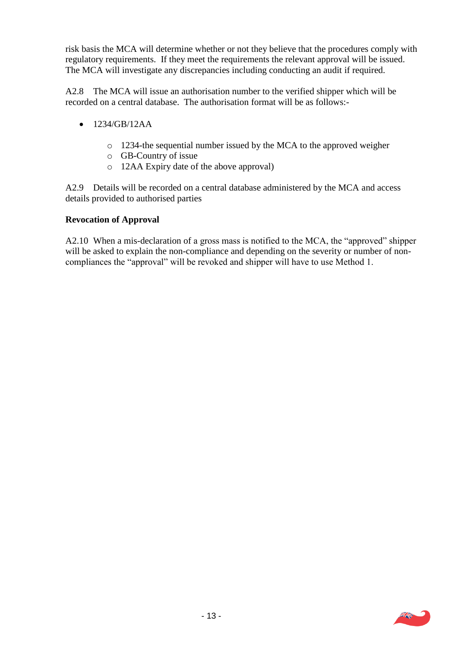risk basis the MCA will determine whether or not they believe that the procedures comply with regulatory requirements. If they meet the requirements the relevant approval will be issued. The MCA will investigate any discrepancies including conducting an audit if required.

A2.8 The MCA will issue an authorisation number to the verified shipper which will be recorded on a central database. The authorisation format will be as follows:-

- $\bullet$  1234/GB/12AA
	- o 1234-the sequential number issued by the MCA to the approved weigher
	- o GB-Country of issue
	- o 12AA Expiry date of the above approval)

A2.9 Details will be recorded on a central database administered by the MCA and access details provided to authorised parties

#### **Revocation of Approval**

A2.10 When a mis-declaration of a gross mass is notified to the MCA, the "approved" shipper will be asked to explain the non-compliance and depending on the severity or number of noncompliances the "approval" will be revoked and shipper will have to use Method 1.

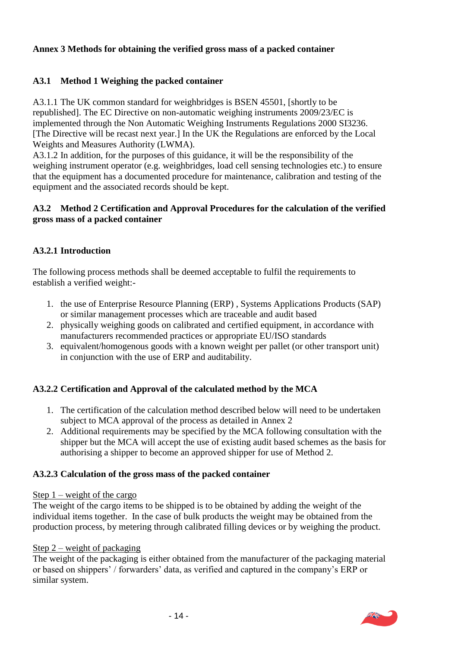#### **Annex 3 Methods for obtaining the verified gross mass of a packed container**

# **A3.1 Method 1 Weighing the packed container**

A3.1.1 The UK common standard for weighbridges is BSEN 45501, [shortly to be republished]. The EC Directive on non-automatic weighing instruments 2009/23/EC is implemented through the Non Automatic Weighing Instruments Regulations 2000 SI3236. [The Directive will be recast next year.] In the UK the Regulations are enforced by the Local Weights and Measures Authority (LWMA).

A3.1.2 In addition, for the purposes of this guidance, it will be the responsibility of the weighing instrument operator (e.g. weighbridges, load cell sensing technologies etc.) to ensure that the equipment has a documented procedure for maintenance, calibration and testing of the equipment and the associated records should be kept.

#### **A3.2 Method 2 Certification and Approval Procedures for the calculation of the verified gross mass of a packed container**

#### **A3.2.1 Introduction**

The following process methods shall be deemed acceptable to fulfil the requirements to establish a verified weight:-

- 1. the use of Enterprise Resource Planning (ERP) , Systems Applications Products (SAP) or similar management processes which are traceable and audit based
- 2. physically weighing goods on calibrated and certified equipment, in accordance with manufacturers recommended practices or appropriate EU/ISO standards
- 3. equivalent/homogenous goods with a known weight per pallet (or other transport unit) in conjunction with the use of ERP and auditability.

#### **A3.2.2 Certification and Approval of the calculated method by the MCA**

- 1. The certification of the calculation method described below will need to be undertaken subject to MCA approval of the process as detailed in Annex 2
- 2. Additional requirements may be specified by the MCA following consultation with the shipper but the MCA will accept the use of existing audit based schemes as the basis for authorising a shipper to become an approved shipper for use of Method 2.

#### **A3.2.3 Calculation of the gross mass of the packed container**

#### Step  $1$  – weight of the cargo

The weight of the cargo items to be shipped is to be obtained by adding the weight of the individual items together. In the case of bulk products the weight may be obtained from the production process, by metering through calibrated filling devices or by weighing the product.

#### Step 2 – weight of packaging

The weight of the packaging is either obtained from the manufacturer of the packaging material or based on shippers' / forwarders' data, as verified and captured in the company's ERP or similar system.

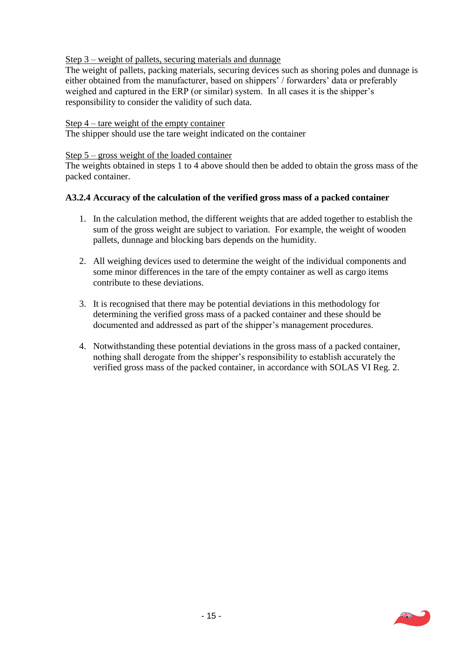Step 3 – weight of pallets, securing materials and dunnage

The weight of pallets, packing materials, securing devices such as shoring poles and dunnage is either obtained from the manufacturer, based on shippers' / forwarders' data or preferably weighed and captured in the ERP (or similar) system. In all cases it is the shipper's responsibility to consider the validity of such data.

#### Step 4 – tare weight of the empty container

The shipper should use the tare weight indicated on the container

#### Step 5 – gross weight of the loaded container

The weights obtained in steps 1 to 4 above should then be added to obtain the gross mass of the packed container.

#### **A3.2.4 Accuracy of the calculation of the verified gross mass of a packed container**

- 1. In the calculation method, the different weights that are added together to establish the sum of the gross weight are subject to variation. For example, the weight of wooden pallets, dunnage and blocking bars depends on the humidity.
- 2. All weighing devices used to determine the weight of the individual components and some minor differences in the tare of the empty container as well as cargo items contribute to these deviations.
- 3. It is recognised that there may be potential deviations in this methodology for determining the verified gross mass of a packed container and these should be documented and addressed as part of the shipper's management procedures.
- 4. Notwithstanding these potential deviations in the gross mass of a packed container, nothing shall derogate from the shipper's responsibility to establish accurately the verified gross mass of the packed container, in accordance with SOLAS VI Reg. 2.